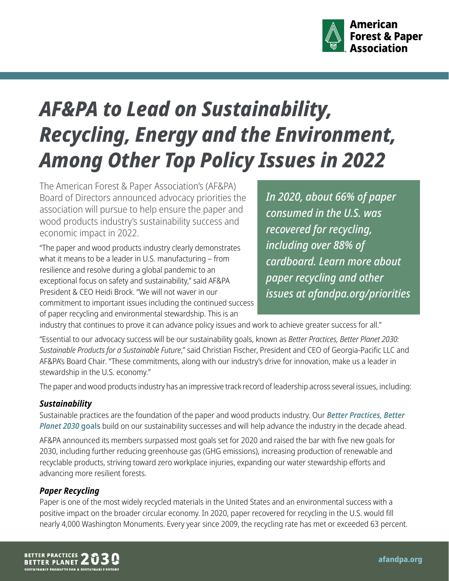

# *AF&PA to Lead on Sustainability, Recycling, Energy and the Environment, Among Other Top Policy Issues in 2022*

The American Forest & Paper Association's (AF&PA) Board of Directors announced advocacy priorities the association will pursue to help ensure the paper and wood products industry's sustainability success and economic impact in 2022.

"The paper and wood products industry clearly demonstrates what it means to be a leader in U.S. manufacturing – from resilience and resolve during a global pandemic to an exceptional focus on safety and sustainability," said AF&PA President & CEO Heidi Brock. "We will not waver in our commitment to important issues including the continued success of paper recycling and environmental stewardship. This is an

*In 2020, about 66% of paper consumed in the U.S. was recovered for recycling, including over 88% of cardboard. Learn more about paper recycling and other issues at [afandpa.org/priorities](https://afandpa.org/priorities)*

industry that continues to prove it can advance policy issues and work to achieve greater success for all."

"Essential to our advocacy success will be our sustainability goals, known as *Better Practices, Better Planet 2030: Sustainable Products for a Sustainable Future*," said Christian Fischer, President and CEO of Georgia-Pacific LLC and AF&PA's Board Chair. "These commitments, along with our industry's drive for innovation, make us a leader in stewardship in the U.S. economy."

The paper and wood products industry has an impressive track record of leadership across several issues, including:

#### *Sustainability*

Sustainable practices are the foundation of the paper and wood products industry. Our *[Better Practices, Better](https://afandpa.org/2030)  [Planet 2030](https://afandpa.org/2030)* **goals** build on our sustainability successes and will help advance the industry in the decade ahead.

AF&PA [announced](https://www.afandpa.org/sites/default/files/2022-02/BPBP2020SustainabilityGoalsAchievementsSumary-2-2-22.pdf) its members surpassed most goals set for 2020 and raised the bar with five new goals for 2030, including further reducing greenhouse gas (GHG emissions), increasing production of renewable and recyclable products, striving toward zero workplace injuries, expanding our water stewardship efforts and advancing more resilient forests.

## *Paper Recycling*

Paper is one of the most widely recycled materials in the United States and an environmental success with a positive impact on the broader circular economy. In 2020, paper recovered for recycling in the U.S. would fill nearly 4,000 Washington Monuments. Every year since 2009, the recycling rate has met or exceeded 63 percent.